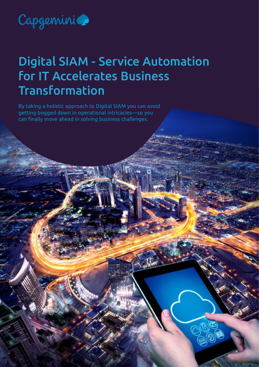

## Digital SIAM - Service Automation for IT Accelerates Business Transformation

By taking a holistic approach to Digital SIAM you can avoid getting bogged down in operational intricacies—so you can finally move ahead in solving business challenges.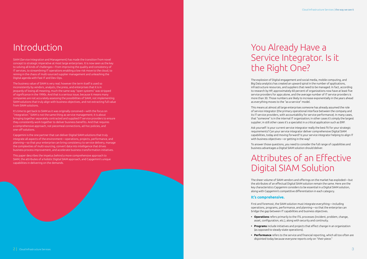## You Already Have a Service Integrator. Is it the Right One?

The explosion of Digital engagement and social media, mobile computing, and Big Data analytics has created an upward spiral in the number of applications, infrastructure resources, and suppliers that need to be managed. In fact, according to research by HP, approximately 60 percent of organizations now have at least five service providers for apps alone, and the average number of IT service providers is more than 30. Those numbers are likely to increase exponentially in the years ahead as everything moves to the "as-a-service" model.

This means at almost all large enterprises someone has already assumed the role of service integrator (the primary operational interface between the company and its IT service providers, with accountability for service performance). In many cases, that "someone" is in the internal IT organization; in other cases it's simply the largest supplier; in still other cases it's a specialist in a critical application such as ERP.

Ask yourself: Is your current service integrator really the best fit for your strategic requirements? Can your service integrator deliver comprehensive Digital SIAM capabilities, today and moving forward? Is your service integrator helping to align IT with business objectives—or getting in the way?

To answer those questions, you need to consider the full range of capabilities and business advantages a Digital SIAM solution should deliver.

## Attributes of an Effective Digital SIAM Solution

The sheer volume of SIAM vendors and offerings on the market has exploded—but the attributes of an effectual Digital SIAM solution remain the same. Here are the key characteristics Capgemini considers to be essential in a Digital SIAM solution, along with Capgemini's competitive differentiation in each category.

#### **It's comprehensive.**

First and foremost, the SIAM solution must integrate everything—including operations, programs, performance, and planning—so that the enterprise can bridge the gap between IT capabilities and business objectives.

- 
- 
- 

**• Operations** refers primarily to the ITIL processes (incident, problem, change, asset, configuration, etc.), along with security and continuity.

**• Programs** include initiatives and projects that effect change in an organization (as opposed to steady-state operations).

**• Performance** refers to the service and financial reporting, which all too often are disjointed today because everyone reports only on "their piece."

## Introduction

SIAM (Service Integration and Management) has made the transition from novel concept to strategic imperative at most large enterprises. It is now seen as the key to solving all kinds of challenges—from improving the quality and consistency of IT services, to streamlining IT operations enabling a low risk move to the cloud, to reining in the chaos of multi-sourced supplier management and unleashing the Digital agenda with Fast IT and Dev-Ops.

The business value of SIAM is very real; however the term itself is used so inconsistently by vendors, analysts, the press, and enterprises that it is in jeopardy of losing all meaning, much the same way "open systems" was stripped of significance in the 1990s. And that is a serious issue, because it means many companies are not accurately assessing the possibilities of SIAM, not implementing SIAM solutions that truly align with business objectives, and not extracting full value from SIAM solutions.

It's time to get back to SIAM as it was originally conceived—with the focus on "integration." SIAM is not the same thing as service management; it is about bringing together separately contracted and supplied IT service providers to ensure they consistently work together to deliver business benefits. And that requires a comprehensive approach, not piecemeal connections, ad-hoc policies, and one-off solutions.

Capgemini is the one partner that can deliver Digital SIAM solutions that truly integrate all aspects of the environment—operations, projects, performance, and planning—so that your enterprise can bring consistency to service delivery, manage the complexities of multi-sourcing, convert data into intelligence that drives business process improvement, and accelerate business transformation initiatives.

This paper describes the impetus behind a more comprehensive approach to SIAM, the attributes of a holistic Digital SIAM approach, and Capgemini's unique capabilities in delivering on the demands.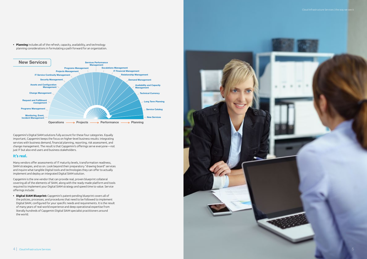

• **Planning** includes all of the refresh, capacity, availability, and technology planning considerations in formulating a path forward for an organization.

Capgemini's Digital SIAM solutions fully account for these four categories. Equally important, Capgemini keeps the focus on higher-level business results: integrating services with business demand, financial planning, reporting, risk assessment, and change management. The result is that Capgemini's offerings serve everyone—not just IT but also end users and business stakeholders.

#### **It's real.**

Many vendors offer assessments of IT maturity levels, transformation readiness, SIAM strategies, and so on. Look beyond their preparatory "drawing board" services and inquire what tangible Digital tools and technologies they can offer to actually implement and deploy an integrated Digital SIAM solution.

Capgemini is the one vendor that can provide real, proven blueprint collateral covering all of the elements of SIAM, along with the ready-made platform and tools required to implement your Digital SIAM strategy and speed time to value. Service offerings include:

**• Digital SIAM Blueprint:** Capgemini's patent-pending blueprint covers all of the policies, processes, and procedures that need to be followed to implement Digital SIAM, configured for your specific needs and requirements. It is the result of many years of real-world experience and deep operational expertise from literally hundreds of Capgemini Digital SIAM specialist practitioners around the world.

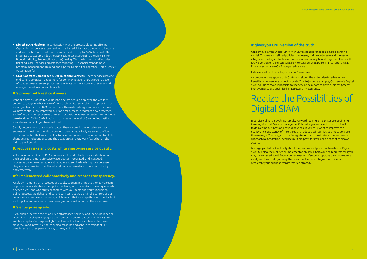#### **It gives you ONE version of the truth.**

Capgemini delivers Digital SIAM with universal adherence to a single operating model. That means defined policies, processes, and procedures—and the use of integrated tooling and automation—are operationally bound together. The result is ONE version of the truth; ONE service catalog, ONE performance report, ONE financial summary—ONE integrated service.

It delivers value other integrators don't even see.

A comprehensive approach to SIAM also allows the enterprise to achieve new benefits other vendors cannot provide. To cite just one example, Capgemini's Digital SIAM solutions make it possible to use service desk data to drive business process improvements and optimize infrastructure investments.

## Realize the Possibilities of

# Digital SIAM

IT service delivery is evolving rapidly. Forward-looking enterprises are beginning to recognize that "service management" is no longer sufficient, in and of itself, to deliver the business objectives they seek. If you truly want to improve the quality and consistency of IT services and reduce business risk, you must do more than manage IT assets; you must integrate. And you must take a comprehensive approach to integration, because multiple providers will not do that of their own

accord.

We urge you to think not only about the promise and potential benefits of Digital SIAM but also the realities of implementation. It will help you see requirements you may have missed; it will focus your evaluation of solution options on what matters most; and it will help you reap the rewards of service integration sooner and accelerate your business transformation strategy.

- **• Digital SIAM Platform:** In conjunction with the process blueprint offering, Capgemini can deliver a standardized, packaged, integrated tooling architecture and specific best-of-breed tools to implement the Digital SIAM blueprint. Our integrated toolset provides the application stack supporting the Digital SIAM Blueprint (Policy, Process, Procedures) linking IT to the business, and includes ticketing, asset, service performance reporting, IT financial management, program management, training, and a portal to bind it all together. This is Service Automation for IT.
- **• CCO (Contract Compliance & Optimization) Services:** These services provide end-to-end contract management for complex relationships through a base of contract management processes, so clients can recapture lost revenue and manage the entire contract lifecycle.

#### **It's proven with real customers.**

Vendor claims are of limited value if no one has actually deployed the vendor's solutions. Capgemini has many referenceable Digital SIAM clients. Capgemini was an early entrant in the SIAM market more than a decade ago, and since that time we have continuously improved, built on past success, integrated new processes, and refined existing processes to retain our position as market leader. We continue to extend our Digital SIAM Platform to increase the level of Service Automation available as technologies have matured.

Simply put, we know this material better than anyone in the industry, and our success with customers lends credence to our claims. In fact, we are so confident in our capabilities that we are willing to be an independent service integrator if the client desires independence and the situation warrants. Very few others in the industry will do this.

#### **It reduces risks and costs while improving service quality.**

With Capgemini's Digital SIAM solutions, costs and risks decrease as technologies and suppliers are more effectively aggregated, integrated, and managed; processes become repeatable and reliable; and service levels improve because they are benchmarked, monitored, and services remediated more consistently and effectively.

#### **It's implemented collaboratively and creates transparency.**

A solution is more than processes and tools. Capgemini brings to the table a team of professionals who have the right experience, who understand the unique needs of each client, and who truly collaborate with your team and your suppliers to deliver success. We deliver end-to-end services, but we do it in the context of our collaborative business experience, which means that we empathize with both client and supplier and we create transparency of information within the enterprise.

#### **It's enterprise-grade.**

SIAM should increase the reliability, performance, security, and user experience of IT services, not simply aggregate them under IT control. Capgemini Digital SIAM solutions replace "enterprise-light" deployment options with true enterpriseclass tools and infrastructure; they also establish and adhere to stringent SLA benchmarks such as performance, uptime, and scalability.